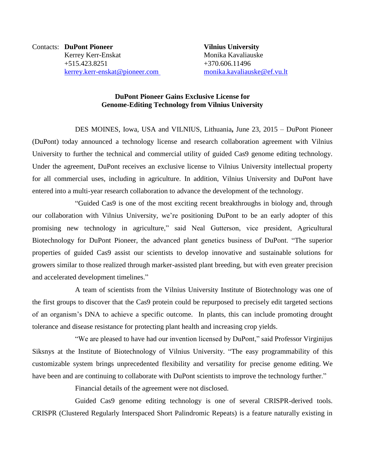Contacts: **DuPont Pioneer Vilnius University** Kerrey Kerr-Enskat Monika Kavaliauske +515.423.8251 +370.606.11496 [kerrey.kerr-enskat@pioneer.com](mailto:kerrey.kerr-enskat@pioneer.com) [monika.kavaliauske@ef.vu.lt](mailto:monika.kavaliauske@ef.vu.lt)

## **DuPont Pioneer Gains Exclusive License for Genome-Editing Technology from Vilnius University**

DES MOINES, Iowa, USA and VILNIUS, Lithuania**,** June 23, 2015 – DuPont Pioneer (DuPont) today announced a technology license and research collaboration agreement with Vilnius University to further the technical and commercial utility of guided Cas9 genome editing technology. Under the agreement, DuPont receives an exclusive license to Vilnius University intellectual property for all commercial uses, including in agriculture. In addition, Vilnius University and DuPont have entered into a multi-year research collaboration to advance the development of the technology.

"Guided Cas9 is one of the most exciting recent breakthroughs in biology and, through our collaboration with Vilnius University, we're positioning DuPont to be an early adopter of this promising new technology in agriculture," said Neal Gutterson, vice president, Agricultural Biotechnology for DuPont Pioneer, the advanced plant genetics business of DuPont. "The superior properties of guided Cas9 assist our scientists to develop innovative and sustainable solutions for growers similar to those realized through marker-assisted plant breeding, but with even greater precision and accelerated development timelines."

A team of scientists from the Vilnius University Institute of Biotechnology was one of the first groups to discover that the Cas9 protein could be repurposed to precisely edit targeted sections of an organism's DNA to achieve a specific outcome. In plants, this can include promoting drought tolerance and disease resistance for protecting plant health and increasing crop yields.

"We are pleased to have had our invention licensed by DuPont," said Professor Virginijus Siksnys at the Institute of Biotechnology of Vilnius University. "The easy programmability of this customizable system brings unprecedented flexibility and versatility for precise genome editing. We have been and are continuing to collaborate with DuPont scientists to improve the technology further."

Financial details of the agreement were not disclosed.

Guided Cas9 genome editing technology is one of several CRISPR-derived tools. CRISPR (Clustered Regularly Interspaced Short Palindromic Repeats) is a feature naturally existing in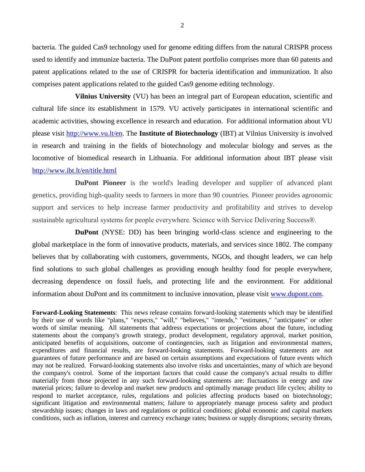bacteria. The guided Cas9 technology used for genome editing differs from the natural CRISPR process used to identify and immunize bacteria. The DuPont patent portfolio comprises more than 60 patents and patent applications related to the use of CRISPR for bacteria identification and immunization. It also comprises patent applications related to the guided Cas9 genome editing technology.

**Vilnius University** (VU) has been an integral part of European education, scientific and cultural life since its establishment in 1579. VU actively participates in international scientific and academic activities, showing excellence in research and education. For additional information about VU please visit [http://www.vu.lt/en.](http://www.vu.lt/en) The **Institute of Biotechnology** (IBT) at Vilnius University is involved in research and training in the fields of biotechnology and molecular biology and serves as the locomotive of biomedical research in Lithuania. For additional information about IBT please visit <http://www.ibt.lt/en/title.html>

**DuPont Pioneer** is the world's leading developer and supplier of advanced plant genetics, providing high-quality seeds to farmers in more than 90 countries. Pioneer provides agronomic support and services to help increase farmer productivity and profitability and strives to develop sustainable agricultural systems for people everywhere. Science with Service Delivering Success®.

**DuPont** (NYSE: DD) has been bringing world-class science and engineering to the global marketplace in the form of innovative products, materials, and services since 1802. The company believes that by collaborating with customers, governments, NGOs, and thought leaders, we can help find solutions to such global challenges as providing enough healthy food for people everywhere, decreasing dependence on fossil fuels, and protecting life and the environment. For additional information about DuPont and its commitment to inclusive innovation, please visit [www.dupont.com.](http://www.dupont.com/)

**Forward-Looking Statements**: This news release contains forward-looking statements which may be identified by their use of words like "plans," "expects," "will," "believes," "intends," "estimates," "anticipates" or other words of similar meaning. All statements that address expectations or projections about the future, including statements about the company's growth strategy, product development, regulatory approval, market position, anticipated benefits of acquisitions, outcome of contingencies, such as litigation and environmental matters, expenditures and financial results, are forward-looking statements. Forward-looking statements are not guarantees of future performance and are based on certain assumptions and expectations of future events which may not be realized. Forward-looking statements also involve risks and uncertainties, many of which are beyond the company's control. Some of the important factors that could cause the company's actual results to differ materially from those projected in any such forward-looking statements are: fluctuations in energy and raw material prices; failure to develop and market new products and optimally manage product life cycles; ability to respond to market acceptance, rules, regulations and policies affecting products based on biotechnology; significant litigation and environmental matters; failure to appropriately manage process safety and product stewardship issues; changes in laws and regulations or political conditions; global economic and capital markets conditions, such as inflation, interest and currency exchange rates; business or supply disruptions; security threats,